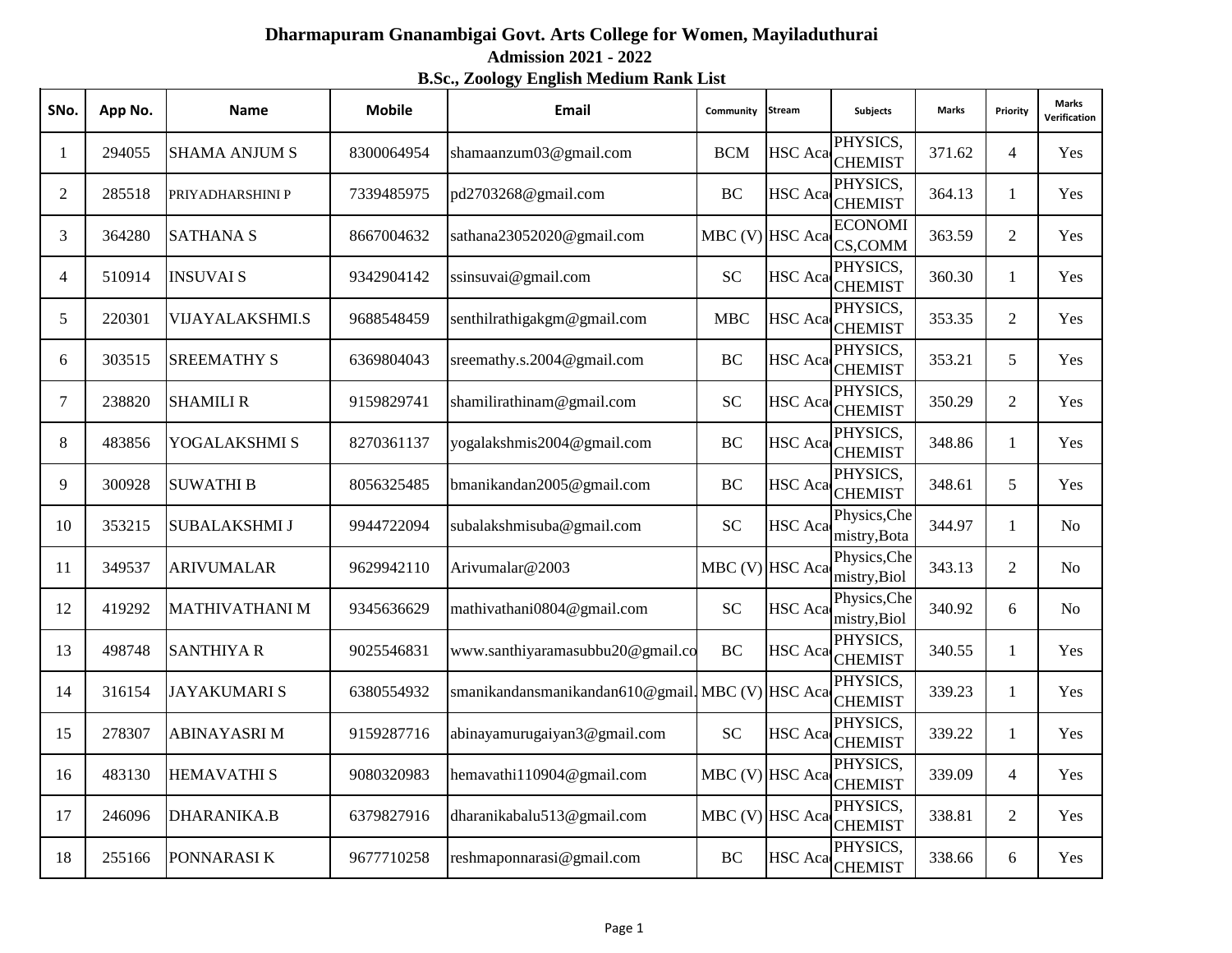## **Admission 2021 - 2022 Dharmapuram Gnanambigai Govt. Arts College for Women, Mayiladuthurai**

## **B.Sc., Zoology English Medium Rank List**

| SNo.                     | App No. | <b>Name</b>            | <b>Mobile</b> | Email                                           | Community         | <b>Stream</b>  | <b>Subjects</b>              | <b>Marks</b> | Priority       | Marks<br>Verification |
|--------------------------|---------|------------------------|---------------|-------------------------------------------------|-------------------|----------------|------------------------------|--------------|----------------|-----------------------|
| 1                        | 294055  | <b>SHAMA ANJUM S</b>   | 8300064954    | shamaanzum03@gmail.com                          | <b>BCM</b>        | <b>HSC</b> Aca | PHYSICS,<br><b>CHEMIST</b>   | 371.62       | $\overline{4}$ | Yes                   |
| 2                        | 285518  | PRIYADHARSHINI P       | 7339485975    | pd2703268@gmail.com                             | BC                | <b>HSC</b> Aca | PHYSICS,<br><b>CHEMIST</b>   | 364.13       | $\mathbf{1}$   | Yes                   |
| 3                        | 364280  | <b>SATHANA S</b>       | 8667004632    | sathana23052020@gmail.com                       | MBC (V) HSC Aca   |                | <b>ECONOMI</b><br>CS,COMM    | 363.59       | $\overline{2}$ | Yes                   |
| $\overline{\mathcal{A}}$ | 510914  | <b>INSUVAI S</b>       | 9342904142    | ssinsuvai@gmail.com                             | <b>SC</b>         | <b>HSC</b> Aca | PHYSICS,<br><b>CHEMIST</b>   | 360.30       | $\mathbf{1}$   | Yes                   |
| 5                        | 220301  | <b>VIJAYALAKSHMI.S</b> | 9688548459    | senthilrathigakgm@gmail.com                     | <b>MBC</b>        | <b>HSC</b> Aca | PHYSICS,<br><b>CHEMIST</b>   | 353.35       | $\overline{c}$ | Yes                   |
| 6                        | 303515  | <b>SREEMATHY S</b>     | 6369804043    | sreemathy.s.2004@gmail.com                      | $\rm BC$          | HSC Aca        | PHYSICS,<br><b>CHEMIST</b>   | 353.21       | 5              | Yes                   |
| 7                        | 238820  | <b>SHAMILI R</b>       | 9159829741    | shamilirathinam@gmail.com                       | <b>SC</b>         | HSC Aca        | PHYSICS,<br><b>CHEMIST</b>   | 350.29       | $\overline{2}$ | Yes                   |
| 8                        | 483856  | YOGALAKSHMI S          | 8270361137    | yogalakshmis2004@gmail.com                      | BC                | HSC Aca        | PHYSICS,<br><b>CHEMIST</b>   | 348.86       | $\mathbf{1}$   | Yes                   |
| 9                        | 300928  | <b>SUWATHI B</b>       | 8056325485    | bmanikandan2005@gmail.com                       | BC                | HSC Aca        | PHYSICS,<br><b>CHEMIST</b>   | 348.61       | 5              | Yes                   |
| 10                       | 353215  | <b>SUBALAKSHMI J</b>   | 9944722094    | subalakshmisuba@gmail.com                       | <b>SC</b>         | HSC Aca        | Physics, Che<br>mistry, Bota | 344.97       | 1              | N <sub>0</sub>        |
| 11                       | 349537  | <b>ARIVUMALAR</b>      | 9629942110    | Arivumalar@2003                                 | MBC (V) HSC Aca   |                | Physics, Che<br>mistry, Biol | 343.13       | $\overline{2}$ | N <sub>0</sub>        |
| 12                       | 419292  | <b>MATHIVATHANI M</b>  | 9345636629    | mathivathani0804@gmail.com                      | <b>SC</b>         | HSC Aca        | Physics, Che<br>mistry, Biol | 340.92       | 6              | N <sub>0</sub>        |
| 13                       | 498748  | <b>SANTHIYA R</b>      | 9025546831    | www.santhiyaramasubbu20@gmail.co                | <b>BC</b>         | HSC Aca        | PHYSICS,<br><b>CHEMIST</b>   | 340.55       | $\mathbf{1}$   | Yes                   |
| 14                       | 316154  | <b>JAYAKUMARIS</b>     | 6380554932    | smanikandansmanikandan610@gmail.MBC (V) HSC Aca |                   |                | PHYSICS,<br><b>CHEMIST</b>   | 339.23       | $\mathbf{1}$   | Yes                   |
| 15                       | 278307  | <b>ABINAYASRIM</b>     | 9159287716    | abinayamurugaiyan3@gmail.com                    | <b>SC</b>         | <b>HSC</b> Aca | PHYSICS,<br><b>CHEMIST</b>   | 339.22       | $\mathbf{1}$   | Yes                   |
| 16                       | 483130  | <b>HEMAVATHI S</b>     | 9080320983    | hemavathi110904@gmail.com                       | $MBC$ (V) HSC Aca |                | PHYSICS,<br><b>CHEMIST</b>   | 339.09       | 4              | Yes                   |
| 17                       | 246096  | <b>DHARANIKA.B</b>     | 6379827916    | dharanikabalu513@gmail.com                      | MBC (V) HSC Aca   |                | PHYSICS,<br><b>CHEMIST</b>   | 338.81       | $\overline{2}$ | Yes                   |
| 18                       | 255166  | PONNARASI K            | 9677710258    | reshmaponnarasi@gmail.com                       | BC                | HSC Aca        | PHYSICS,<br><b>CHEMIST</b>   | 338.66       | 6              | Yes                   |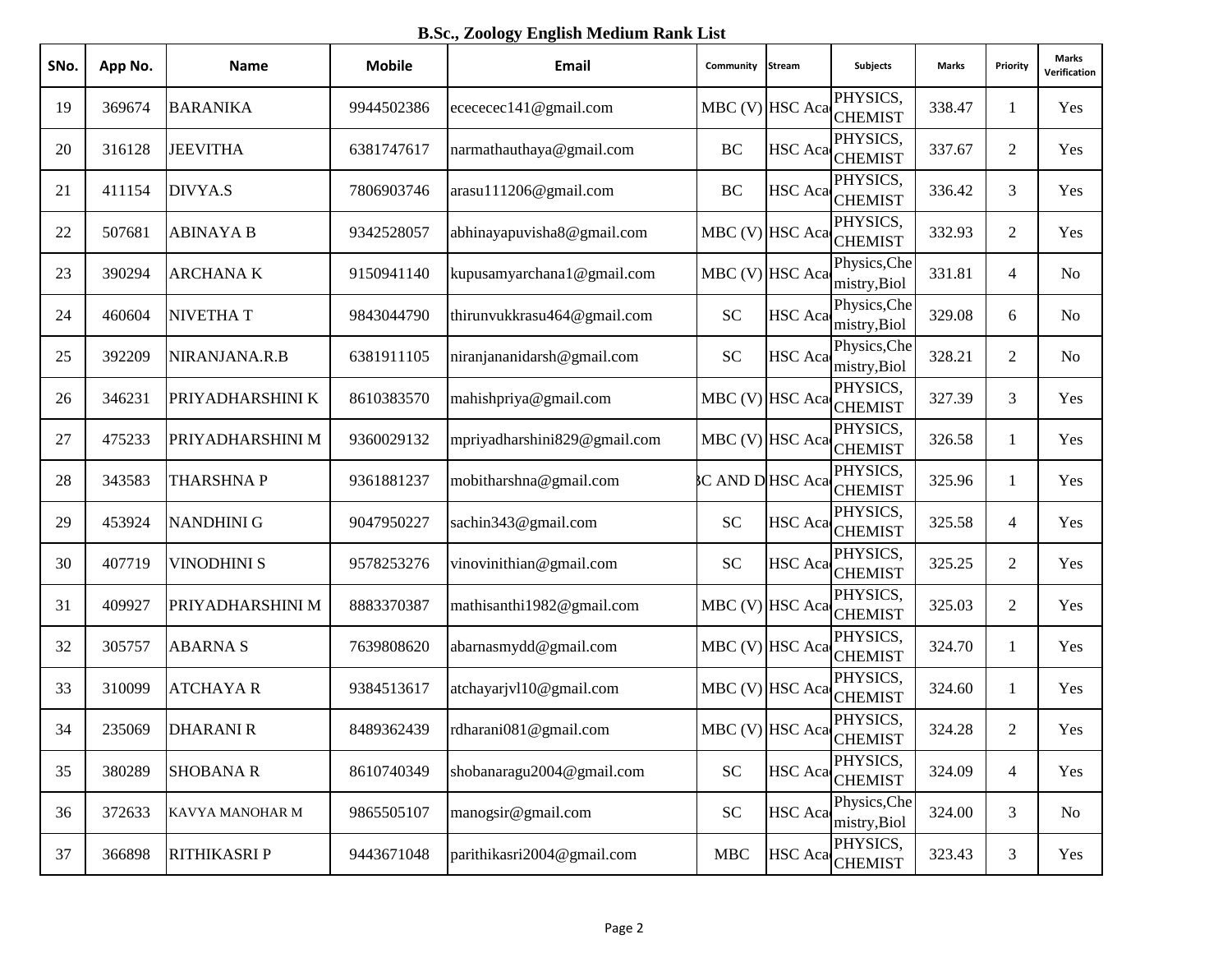**B.Sc., Zoology English Medium Rank List**

| SNo. | App No. | <b>Name</b>        | <b>Mobile</b> | Email                        | Community            | Stream         | <b>Subjects</b>                        | Marks  | Priority       | Marks<br>Verification |
|------|---------|--------------------|---------------|------------------------------|----------------------|----------------|----------------------------------------|--------|----------------|-----------------------|
| 19   | 369674  | <b>BARANIKA</b>    | 9944502386    | ecececec141@gmail.com        | MBC (V) HSC Aca      |                | PHYSICS,<br><b>CHEMIST</b>             | 338.47 | 1              | Yes                   |
| 20   | 316128  | <b>JEEVITHA</b>    | 6381747617    | narmathauthaya@gmail.com     | BC                   | <b>HSC</b> Aca | PHYSICS,<br><b>CHEMIST</b>             | 337.67 | $\overline{2}$ | Yes                   |
| 21   | 411154  | DIVYA.S            | 7806903746    | arasu111206@gmail.com        | BC                   |                | PHYSICS,<br>HSC Aca CHEMIST            | 336.42 | 3              | Yes                   |
| 22   | 507681  | <b>ABINAYA B</b>   | 9342528057    | abhinayapuvisha8@gmail.com   | MBC (V) HSC Aca      |                | PHYSICS,<br><b>CHEMIST</b>             | 332.93 | $\overline{2}$ | Yes                   |
| 23   | 390294  | <b>ARCHANAK</b>    | 9150941140    | kupusamyarchana1@gmail.com   | $MBC$ (V) HSC Aca    |                | Physics, Che<br>mistry, Biol           | 331.81 | $\overline{4}$ | N <sub>o</sub>        |
| 24   | 460604  | <b>NIVETHAT</b>    | 9843044790    | thirunvukkrasu464@gmail.com  | <b>SC</b>            | <b>HSC</b> Aca | Physics, Che<br>mistry, Biol           | 329.08 | 6              | N <sub>o</sub>        |
| 25   | 392209  | NIRANJANA.R.B      | 6381911105    | niranjananidarsh@gmail.com   | <b>SC</b>            | <b>HSC</b> Aca | Physics, Che<br>mistry, Biol           | 328.21 | $\overline{2}$ | N <sub>o</sub>        |
| 26   | 346231  | PRIYADHARSHINI K   | 8610383570    | mahishpriya@gmail.com        | MBC (V) HSC Aca      |                | PHYSICS,<br><b>CHEMIST</b>             | 327.39 | 3              | Yes                   |
| 27   | 475233  | PRIYADHARSHINI M   | 9360029132    | mpriyadharshini829@gmail.com | MBC (V) HSC Aca      |                | PHYSICS,<br><b>CHEMIST</b>             | 326.58 | 1              | Yes                   |
| 28   | 343583  | <b>THARSHNAP</b>   | 9361881237    | mobitharshna@gmail.com       | <b>CAND DHSC Aca</b> |                | PHYSICS,<br><b>CHEMIST</b>             | 325.96 | 1              | Yes                   |
| 29   | 453924  | <b>NANDHINI G</b>  | 9047950227    | sachin343@gmail.com          | <b>SC</b>            | <b>HSC</b> Aca | PHYSICS,<br><b>CHEMIST</b>             | 325.58 | $\overline{4}$ | Yes                   |
| 30   | 407719  | <b>VINODHINI S</b> | 9578253276    | vinovinithian@gmail.com      | <b>SC</b>            |                | PHYSICS,<br>HSC Aca CHEMIST            | 325.25 | $\overline{2}$ | Yes                   |
| 31   | 409927  | PRIYADHARSHINI M   | 8883370387    | mathisanthi1982@gmail.com    | MBC (V) HSC Aca      |                | PHYSICS,<br><b>CHEMIST</b>             | 325.03 | $\overline{2}$ | Yes                   |
| 32   | 305757  | <b>ABARNAS</b>     | 7639808620    | abarnasmydd@gmail.com        | MBC (V) HSC Aca      |                | PHYSICS,<br><b>CHEMIST</b>             | 324.70 | 1              | Yes                   |
| 33   | 310099  | <b>ATCHAYAR</b>    | 9384513617    | atchayarjvl10@gmail.com      | MBC (V) HSC Aca      |                | PHYSICS,<br><b>CHEMIST</b>             | 324.60 | $\mathbf{1}$   | Yes                   |
| 34   | 235069  | <b>DHARANIR</b>    | 8489362439    | rdharani081@gmail.com        |                      |                | PHYSICS,<br>MBC (V) HSC Aca CHEMIST    | 324.28 | $\overline{c}$ | Yes                   |
| 35   | 380289  | <b>SHOBANA R</b>   | 8610740349    | shobanaragu2004@gmail.com    | <b>SC</b>            | <b>HSC</b> Aca | PHYSICS,<br><b>CHEMIST</b>             | 324.09 | $\overline{4}$ | Yes                   |
| 36   | 372633  | KAVYA MANOHAR M    | 9865505107    | manogsir@gmail.com           | ${\rm SC}$           | <b>HSC</b> Aca | Physics, Che<br>mistry, Biol           | 324.00 | 3              | N <sub>0</sub>        |
| 37   | 366898  | RITHIKASRI P       | 9443671048    | parithikasri2004@gmail.com   | <b>MBC</b>           |                | PHYSICS,<br>HSC Aca <sub>CHEMIST</sub> | 323.43 | $\mathfrak{Z}$ | Yes                   |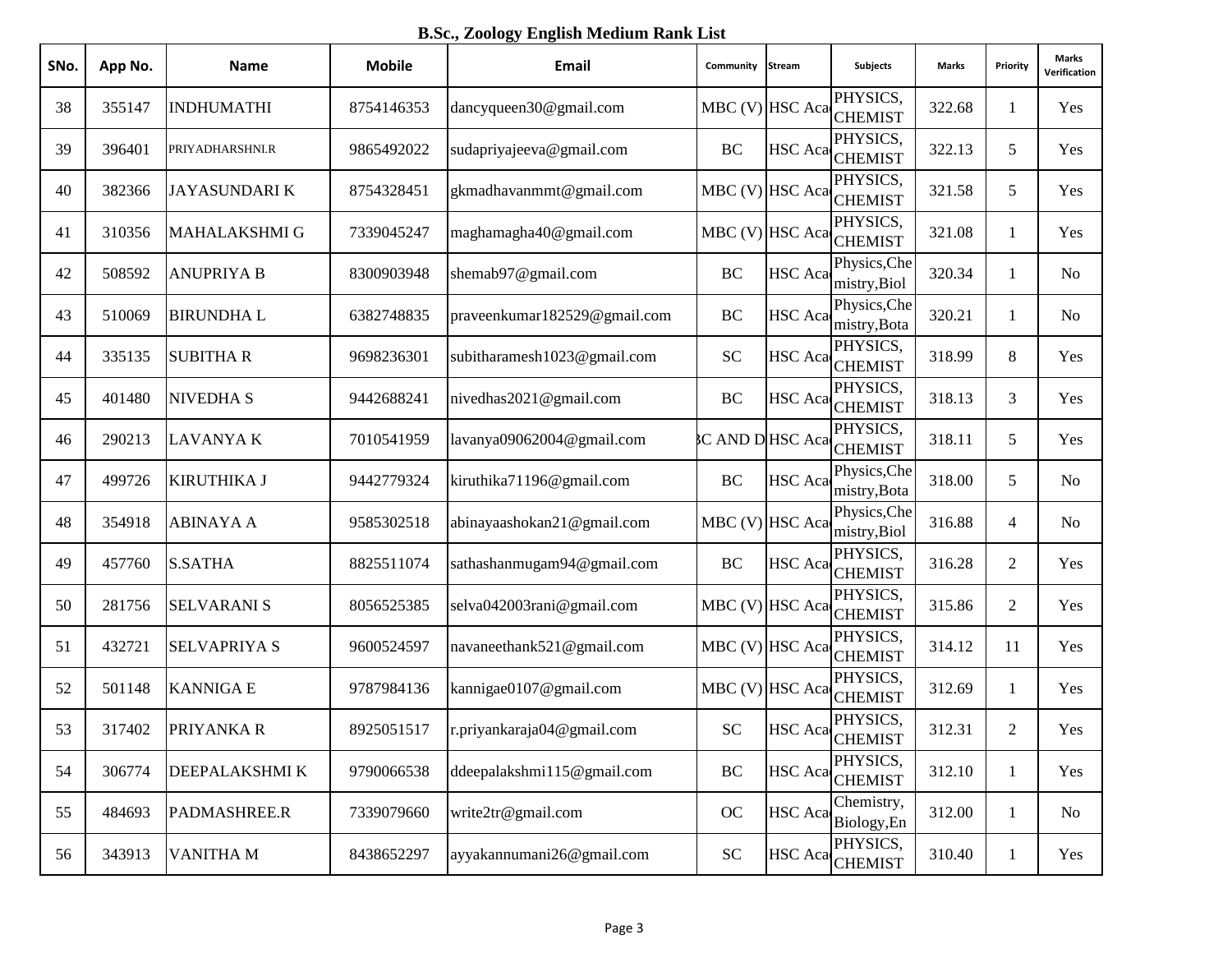**B.Sc., Zoology English Medium Rank List**

| SNo. | App No. | <b>Name</b>          | <b>Mobile</b> | Email                        | Community              | Stream         | <b>Subjects</b>                     | Marks  | Priority       | <b>Marks</b><br>Verification |
|------|---------|----------------------|---------------|------------------------------|------------------------|----------------|-------------------------------------|--------|----------------|------------------------------|
| 38   | 355147  | <b>INDHUMATHI</b>    | 8754146353    | dancyqueen30@gmail.com       |                        |                | PHYSICS,<br>MBC (V) HSC Aca CHEMIST | 322.68 | 1              | Yes                          |
| 39   | 396401  | PRIYADHARSHNI.R      | 9865492022    | sudapriyajeeva@gmail.com     | BC                     |                | PHYSICS,<br>HSC Aca CHEMIST         | 322.13 | 5              | Yes                          |
| 40   | 382366  | <b>JAYASUNDARIK</b>  | 8754328451    | gkmadhavanmmt@gmail.com      |                        |                | PHYSICS,<br>MBC (V) HSC Aca CHEMIST | 321.58 | 5              | Yes                          |
| 41   | 310356  | <b>MAHALAKSHMI G</b> | 7339045247    | maghamagha40@gmail.com       | MBC (V) HSC Aca        |                | PHYSICS,<br><b>CHEMIST</b>          | 321.08 | $\mathbf{1}$   | Yes                          |
| 42   | 508592  | <b>ANUPRIYA B</b>    | 8300903948    | shemab97@gmail.com           | BC                     | <b>HSC</b> Aca | Physics, Che<br>mistry, Biol        | 320.34 | 1              | N <sub>o</sub>               |
| 43   | 510069  | <b>BIRUNDHAL</b>     | 6382748835    | praveenkumar182529@gmail.com | BC                     | HSC Aca        | Physics, Che<br>mistry, Bota        | 320.21 | 1              | N <sub>o</sub>               |
| 44   | 335135  | <b>SUBITHAR</b>      | 9698236301    | subitharamesh1023@gmail.com  | <b>SC</b>              | HSC Aca        | PHYSICS,<br><b>CHEMIST</b>          | 318.99 | 8              | Yes                          |
| 45   | 401480  | <b>NIVEDHA S</b>     | 9442688241    | nivedhas2021@gmail.com       | BC                     | HSC Aca        | PHYSICS,<br><b>CHEMIST</b>          | 318.13 | 3              | Yes                          |
| 46   | 290213  | <b>LAVANYAK</b>      | 7010541959    | lavanya09062004@gmail.com    | <b>C AND D HSC Aca</b> |                | PHYSICS,<br><b>CHEMIST</b>          | 318.11 | 5              | Yes                          |
| 47   | 499726  | <b>KIRUTHIKA J</b>   | 9442779324    | kiruthika71196@gmail.com     | BC                     | <b>HSC</b> Aca | Physics, Che<br>mistry, Bota        | 318.00 | 5              | N <sub>o</sub>               |
| 48   | 354918  | <b>ABINAYA A</b>     | 9585302518    | abinayaashokan21@gmail.com   | MBC (V) HSC Aca        |                | Physics, Che<br>mistry, Biol        | 316.88 | 4              | N <sub>o</sub>               |
| 49   | 457760  | <b>S.SATHA</b>       | 8825511074    | sathashanmugam94@gmail.com   | BC                     |                | PHYSICS,<br>HSC Aca CHEMIST         | 316.28 | $\overline{2}$ | Yes                          |
| 50   | 281756  | <b>SELVARANI S</b>   | 8056525385    | selva042003rani@gmail.com    | MBC (V) HSC Aca        |                | PHYSICS,<br><b>CHEMIST</b>          | 315.86 | $\overline{2}$ | Yes                          |
| 51   | 432721  | <b>SELVAPRIYA S</b>  | 9600524597    | navaneethank521@gmail.com    |                        |                | PHYSICS,<br>MBC (V) HSC Aca CHEMIST | 314.12 | 11             | Yes                          |
| 52   | 501148  | <b>KANNIGA E</b>     | 9787984136    | kannigae0107@gmail.com       | MBC (V) HSC Aca        |                | PHYSICS,<br><b>CHEMIST</b>          | 312.69 | $\mathbf{1}$   | Yes                          |
| 53   | 317402  | PRIYANKA R           | 8925051517    | r.priyankaraja04@gmail.com   | <b>SC</b>              |                | PHYSICS,<br>HSC Aca CHEMIST         | 312.31 | $\mathfrak{2}$ | Yes                          |
| 54   | 306774  | <b>DEEPALAKSHMIK</b> | 9790066538    | ddeepalakshmi115@gmail.com   | BC                     |                | PHYSICS,<br>HSC Aca CHEMIST         | 312.10 | $\mathbf{1}$   | Yes                          |
| 55   | 484693  | PADMASHREE.R         | 7339079660    | write2tr@gmail.com           | OC                     | <b>HSC</b> Aca | Chemistry,<br>Biology, En           | 312.00 | $\mathbf{1}$   | No                           |
| 56   | 343913  | <b>VANITHAM</b>      | 8438652297    | ayyakannumani26@gmail.com    | ${\rm SC}$             |                | PHYSICS,<br>HSC Aca CHEMIST         | 310.40 | $\mathbf{1}$   | Yes                          |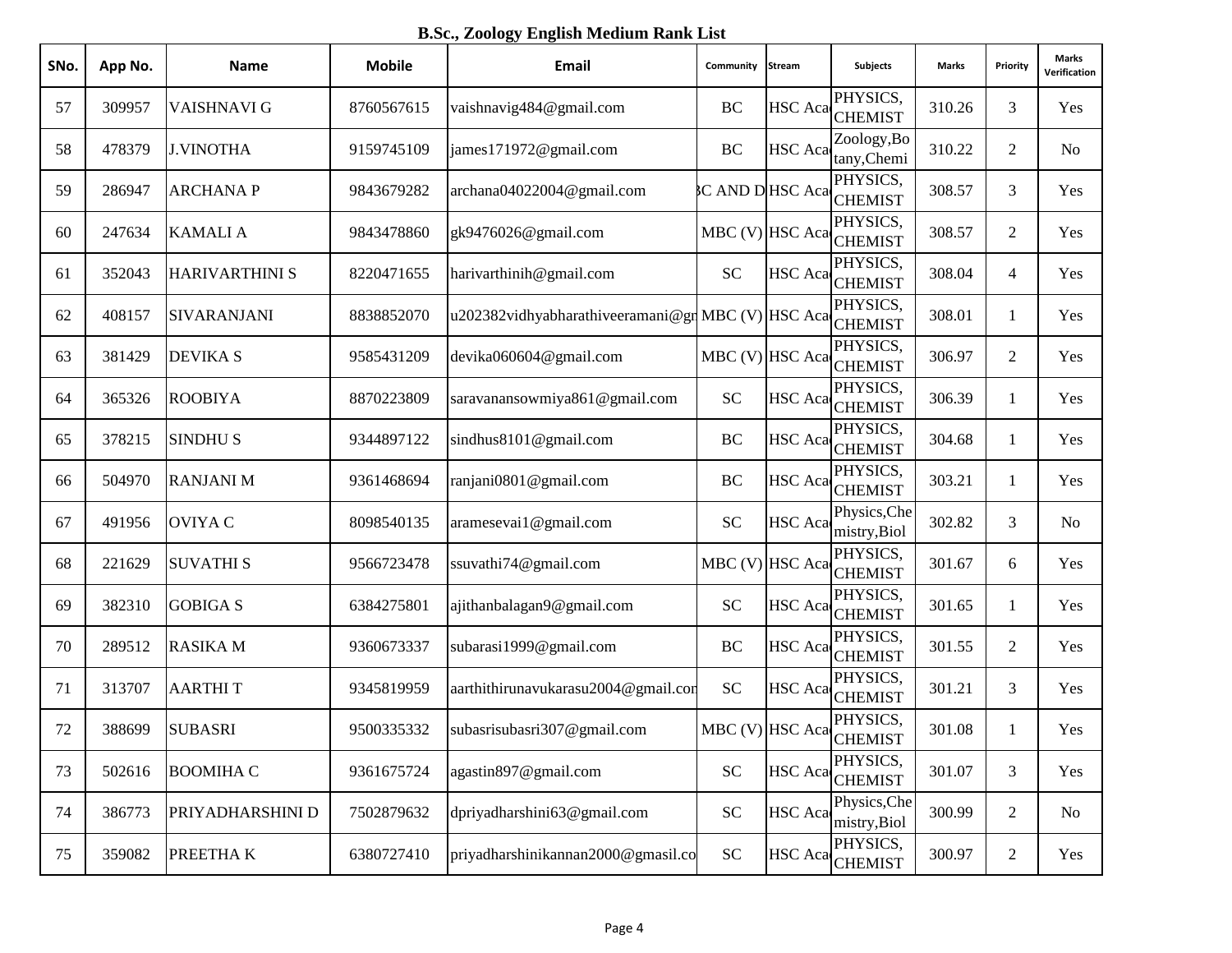**B.Sc., Zoology English Medium Rank List**

| SNo. | App No. | <b>Name</b>           | <b>Mobile</b> | Email                                             | Community       | <b>Stream</b>  | <b>Subjects</b>                        | Marks  | Priority       | <b>Marks</b><br>Verification |
|------|---------|-----------------------|---------------|---------------------------------------------------|-----------------|----------------|----------------------------------------|--------|----------------|------------------------------|
| 57   | 309957  | <b>VAISHNAVI G</b>    | 8760567615    | vaishnavig484@gmail.com                           | BC              |                | PHYSICS,<br>HSC Aca CHEMIST            | 310.26 | 3              | Yes                          |
| 58   | 478379  | <b>J.VINOTHA</b>      | 9159745109    | james171972@gmail.com                             | BC              | <b>HSC</b> Aca | Zoology, Bo<br>tany, Chemi             | 310.22 | $\overline{2}$ | N <sub>o</sub>               |
| 59   | 286947  | <b>ARCHANAP</b>       | 9843679282    | archana04022004@gmail.com                         |                 |                | PHYSICS,<br>C AND D HSC Aca CHEMIST    | 308.57 | 3              | Yes                          |
| 60   | 247634  | <b>KAMALIA</b>        | 9843478860    | gk9476026@gmail.com                               | MBC (V) HSC Aca |                | PHYSICS,<br><b>CHEMIST</b>             | 308.57 | $\overline{c}$ | Yes                          |
| 61   | 352043  | <b>HARIVARTHINI S</b> | 8220471655    | harivarthinih@gmail.com                           | <b>SC</b>       |                | PHYSICS,<br>HSC Aca CHEMIST            | 308.04 | $\overline{4}$ | Yes                          |
| 62   | 408157  | <b>SIVARANJANI</b>    | 8838852070    | u202382vidhyabharathiveeramani@gr MBC (V) HSC Aca |                 |                | PHYSICS,<br><b>CHEMIST</b>             | 308.01 | 1              | Yes                          |
| 63   | 381429  | <b>DEVIKA S</b>       | 9585431209    | devika060604@gmail.com                            | MBC (V) HSC Aca |                | PHYSICS,<br><b>CHEMIST</b>             | 306.97 | $\overline{2}$ | Yes                          |
| 64   | 365326  | <b>ROOBIYA</b>        | 8870223809    | saravanansowmiya861@gmail.com                     | <b>SC</b>       | <b>HSC</b> Aca | PHYSICS,<br><b>CHEMIST</b>             | 306.39 | $\mathbf{1}$   | Yes                          |
| 65   | 378215  | <b>SINDHUS</b>        | 9344897122    | sindhus8101@gmail.com                             | BC              | <b>HSC</b> Aca | PHYSICS,<br><b>CHEMIST</b>             | 304.68 | 1              | Yes                          |
| 66   | 504970  | <b>RANJANI M</b>      | 9361468694    | ranjani0801@gmail.com                             | BC              |                | PHYSICS,<br>HSC Aca CHEMIST            | 303.21 | 1              | Yes                          |
| 67   | 491956  | <b>OVIYA C</b>        | 8098540135    | aramesevai1@gmail.com                             | <b>SC</b>       | <b>HSC</b> Aca | Physics, Che<br>mistry, Biol           | 302.82 | 3              | N <sub>o</sub>               |
| 68   | 221629  | <b>SUVATHIS</b>       | 9566723478    | ssuvathi74@gmail.com                              | MBC (V) HSC Aca |                | PHYSICS,<br><b>CHEMIST</b>             | 301.67 | 6              | Yes                          |
| 69   | 382310  | <b>GOBIGA S</b>       | 6384275801    | ajithanbalagan9@gmail.com                         | <b>SC</b>       |                | PHYSICS,<br>HSC Aca <sub>CHEMIST</sub> | 301.65 | 1              | Yes                          |
| 70   | 289512  | <b>RASIKA M</b>       | 9360673337    | subarasi1999@gmail.com                            | BC              |                | PHYSICS,<br>HSC Aca CHEMIST            | 301.55 | 2              | Yes                          |
| 71   | 313707  | <b>AARTHIT</b>        | 9345819959    | aarthithirunavukarasu2004@gmail.com               | <b>SC</b>       | <b>HSC</b> Aca | PHYSICS,<br><b>CHEMIST</b>             | 301.21 | 3              | Yes                          |
| 72   | 388699  | <b>SUBASRI</b>        | 9500335332    | subasrisubasri307@gmail.com                       |                 |                | PHYSICS,<br>MBC (V) HSC Aca CHEMIST    | 301.08 | 1              | Yes                          |
| 73   | 502616  | <b>BOOMIHA C</b>      | 9361675724    | agastin897@gmail.com                              | <b>SC</b>       | <b>HSC</b> Aca | PHYSICS,<br><b>CHEMIST</b>             | 301.07 | $\mathfrak{Z}$ | Yes                          |
| 74   | 386773  | PRIYADHARSHINI D      | 7502879632    | dpriyadharshini63@gmail.com                       | ${\rm SC}$      | <b>HSC</b> Aca | Physics, Che<br>mistry, Biol           | 300.99 | $\overline{2}$ | N <sub>0</sub>               |
| 75   | 359082  | <b>PREETHAK</b>       | 6380727410    | priyadharshinikannan2000@gmasil.co                | ${\rm SC}$      |                | PHYSICS,<br>HSC Aca CHEMIST            | 300.97 | $\overline{c}$ | Yes                          |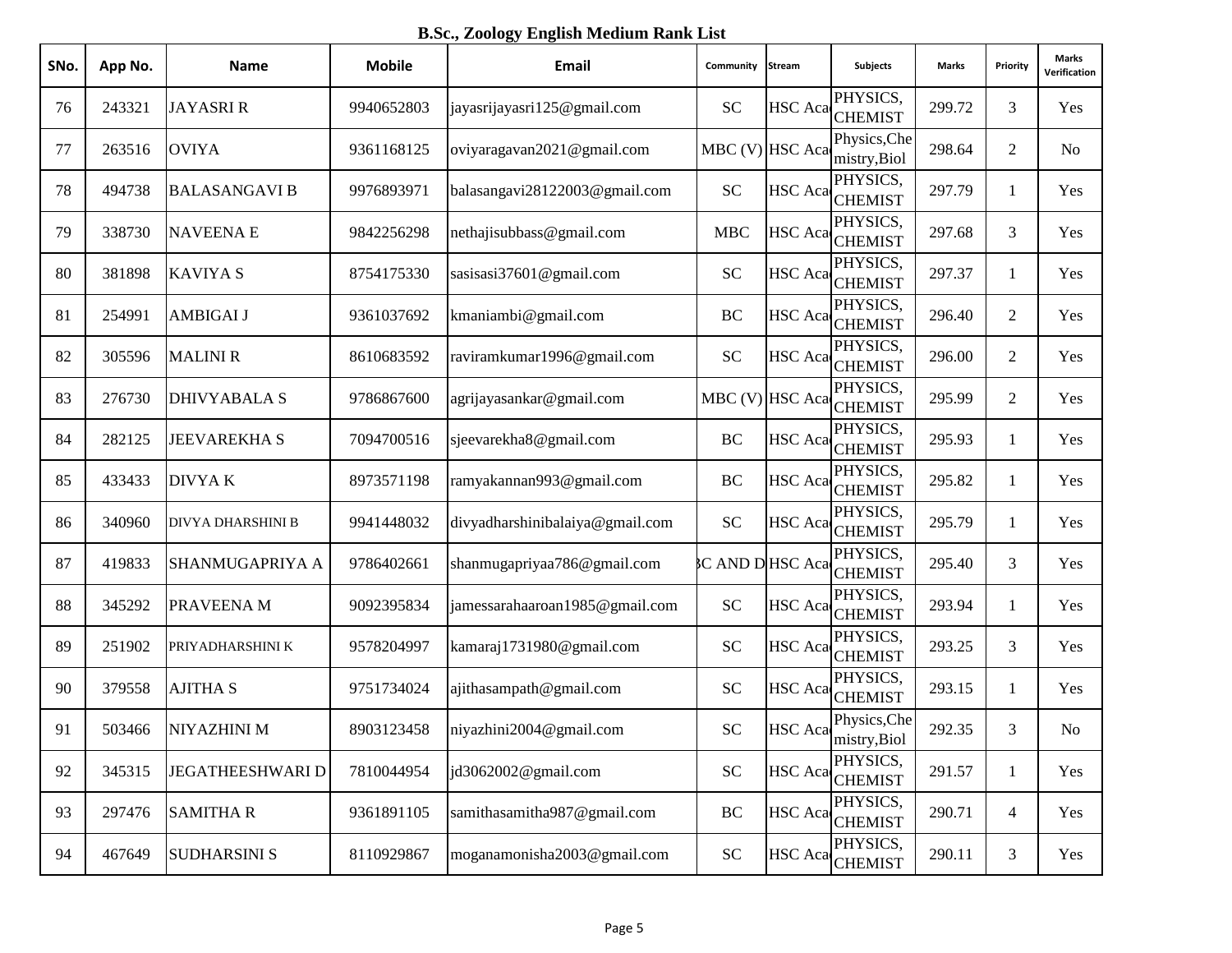**B.Sc., Zoology English Medium Rank List**

| SNo. | App No. | <b>Name</b>             | <b>Mobile</b> | Email                           | Community            | Stream         | <b>Subjects</b>                      | Marks  | Priority       | Marks<br>Verification |
|------|---------|-------------------------|---------------|---------------------------------|----------------------|----------------|--------------------------------------|--------|----------------|-----------------------|
| 76   | 243321  | <b>JAYASRIR</b>         | 9940652803    | jayasrijayasri125@gmail.com     | <b>SC</b>            |                | PHYSICS,<br>HSC Aca CHEMIST          | 299.72 | 3              | Yes                   |
| 77   | 263516  | <b>OVIYA</b>            | 9361168125    | oviyaragavan2021@gmail.com      | MBC (V) HSC Aca      |                | Physics, Che<br>mistry, Biol         | 298.64 | $\overline{2}$ | No                    |
| 78   | 494738  | <b>BALASANGAVI B</b>    | 9976893971    | balasangavi28122003@gmail.com   | <b>SC</b>            |                | PHYSICS,<br>HSC Aca CHEMIST          | 297.79 | 1              | Yes                   |
| 79   | 338730  | <b>NAVEENAE</b>         | 9842256298    | nethajisubbass@gmail.com        | <b>MBC</b>           | HSC Aca        | PHYSICS,<br><b>CHEMIST</b>           | 297.68 | 3              | Yes                   |
| 80   | 381898  | <b>KAVIYA S</b>         | 8754175330    | sasisasi37601@gmail.com         | <b>SC</b>            |                | PHYSICS,<br>HSC Aca CHEMIST          | 297.37 | 1              | Yes                   |
| 81   | 254991  | <b>AMBIGAI J</b>        | 9361037692    | kmaniambi@gmail.com             | BC                   | <b>HSC</b> Aca | PHYSICS,<br><b>CHEMIST</b>           | 296.40 | $\overline{2}$ | Yes                   |
| 82   | 305596  | <b>MALINI R</b>         | 8610683592    | raviramkumar1996@gmail.com      | <b>SC</b>            | <b>HSC</b> Aca | PHYSICS,<br><b>CHEMIST</b>           | 296.00 | $\overline{2}$ | Yes                   |
| 83   | 276730  | <b>DHIVYABALA S</b>     | 9786867600    | agrijayasankar@gmail.com        | MBC (V) HSC Aca      |                | PHYSICS,<br><b>CHEMIST</b>           | 295.99 | $\overline{2}$ | Yes                   |
| 84   | 282125  | <b>JEEVAREKHA S</b>     | 7094700516    | sjeevarekha8@gmail.com          | BC                   | <b>HSC</b> Aca | PHYSICS,<br><b>CHEMIST</b>           | 295.93 | 1              | Yes                   |
| 85   | 433433  | <b>DIVYAK</b>           | 8973571198    | ramyakannan993@gmail.com        | BC                   | <b>HSC</b> Aca | PHYSICS,<br><b>CHEMIST</b>           | 295.82 | 1              | Yes                   |
| 86   | 340960  | DIVYA DHARSHINI B       | 9941448032    | divyadharshinibalaiya@gmail.com | <b>SC</b>            | <b>HSC</b> Aca | PHYSICS,<br><b>CHEMIST</b>           | 295.79 | 1              | Yes                   |
| 87   | 419833  | SHANMUGAPRIYA A         | 9786402661    | shanmugapriyaa786@gmail.com     | <b>CAND DHSC Aca</b> |                | PHYSICS,<br><b>CHEMIST</b>           | 295.40 | 3              | Yes                   |
| 88   | 345292  | PRAVEENA M              | 9092395834    | jamessarahaaroan1985@gmail.com  | <b>SC</b>            | <b>HSC</b> Aca | PHYSICS,<br><b>CHEMIST</b>           | 293.94 | 1              | Yes                   |
| 89   | 251902  | PRIYADHARSHINI K        | 9578204997    | kamaraj1731980@gmail.com        | <b>SC</b>            | <b>HSC</b> Aca | PHYSICS,<br><b>CHEMIST</b>           | 293.25 | 3              | Yes                   |
| 90   | 379558  | <b>AJITHA S</b>         | 9751734024    | ajithasampath@gmail.com         | <b>SC</b>            | <b>HSC</b> Aca | PHYSICS,<br><b>CHEMIST</b>           | 293.15 | 1              | Yes                   |
| 91   | 503466  | NIYAZHINI M             | 8903123458    | niyazhini2004@gmail.com         | <b>SC</b>            |                | Physics, Che<br>HSC Aca mistry, Biol | 292.35 | 3              | N <sub>0</sub>        |
| 92   | 345315  | <b>JEGATHEESHWARI D</b> | 7810044954    | jd3062002@gmail.com             | <b>SC</b>            | <b>HSC</b> Aca | PHYSICS,<br><b>CHEMIST</b>           | 291.57 | $\mathbf{1}$   | Yes                   |
| 93   | 297476  | <b>SAMITHAR</b>         | 9361891105    | samithasamitha987@gmail.com     | $\rm BC$             | <b>HSC</b> Aca | PHYSICS,<br><b>CHEMIST</b>           | 290.71 | $\overline{4}$ | Yes                   |
| 94   | 467649  | <b>SUDHARSINI S</b>     | 8110929867    | moganamonisha2003@gmail.com     | <b>SC</b>            |                | PHYSICS,<br>HSC Aca CHEMIST          | 290.11 | $\mathfrak{Z}$ | Yes                   |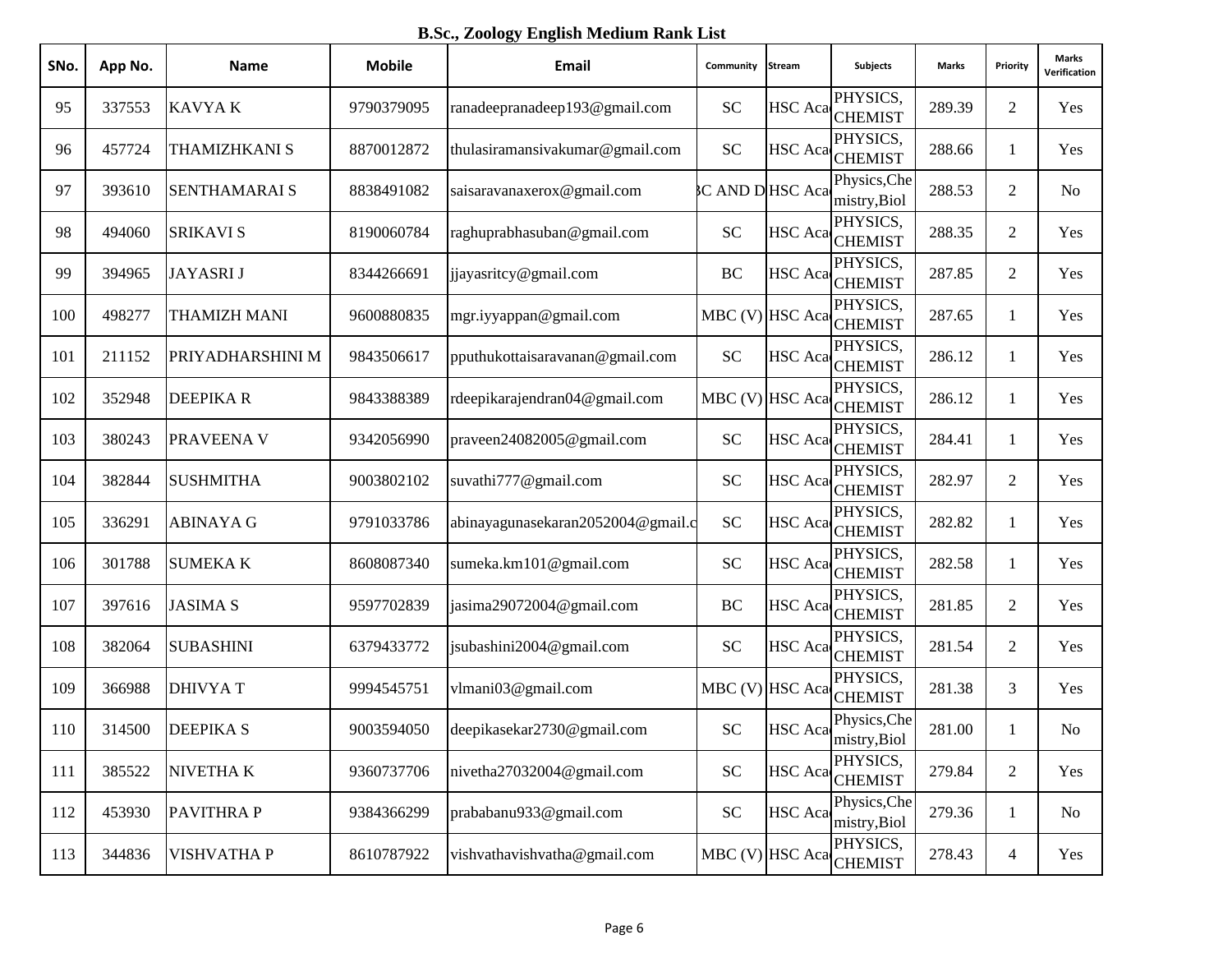**B.Sc., Zoology English Medium Rank List**

| SNo. | App No. | <b>Name</b>          | <b>Mobile</b> | Email                             | Community       | <b>Stream</b>  | <b>Subjects</b>                        | <b>Marks</b> | Priority       | Marks<br>Verification |
|------|---------|----------------------|---------------|-----------------------------------|-----------------|----------------|----------------------------------------|--------------|----------------|-----------------------|
| 95   | 337553  | <b>KAVYAK</b>        | 9790379095    | ranadeepranadeep193@gmail.com     | <b>SC</b>       | <b>HSC</b> Aca | PHYSICS,<br><b>CHEMIST</b>             | 289.39       | $\overline{2}$ | Yes                   |
| 96   | 457724  | <b>THAMIZHKANI S</b> | 8870012872    | thulasiramansivakumar@gmail.com   | <b>SC</b>       | <b>HSC</b> Aca | PHYSICS,<br><b>CHEMIST</b>             | 288.66       | 1              | Yes                   |
| 97   | 393610  | <b>SENTHAMARAI S</b> | 8838491082    | saisaravanaxerox@gmail.com        | C AND DHSC Aca  |                | Physics, Che<br>mistry, Biol           | 288.53       | 2              | No                    |
| 98   | 494060  | <b>SRIKAVI S</b>     | 8190060784    | raghuprabhasuban@gmail.com        | <b>SC</b>       |                | PHYSICS,<br>HSC Aca <sub>CHEMIST</sub> | 288.35       | $\overline{2}$ | Yes                   |
| 99   | 394965  | <b>JAYASRIJ</b>      | 8344266691    | jjayasritcy@gmail.com             | BC              |                | PHYSICS,<br>HSC Aca CHEMIST            | 287.85       | $\overline{2}$ | Yes                   |
| 100  | 498277  | THAMIZH MANI         | 9600880835    | mgr.iyyappan@gmail.com            | MBC (V) HSC Aca |                | PHYSICS,<br><b>CHEMIST</b>             | 287.65       | 1              | Yes                   |
| 101  | 211152  | PRIYADHARSHINI M     | 9843506617    | pputhukottaisaravanan@gmail.com   | <b>SC</b>       | <b>HSC</b> Aca | PHYSICS,<br><b>CHEMIST</b>             | 286.12       | 1              | Yes                   |
| 102  | 352948  | <b>DEEPIKAR</b>      | 9843388389    | rdeepikarajendran04@gmail.com     | MBC (V) HSC Aca |                | PHYSICS,<br><b>CHEMIST</b>             | 286.12       | 1              | Yes                   |
| 103  | 380243  | PRAVEENA V           | 9342056990    | praveen24082005@gmail.com         | <b>SC</b>       | <b>HSC</b> Aca | PHYSICS,<br><b>CHEMIST</b>             | 284.41       | 1              | Yes                   |
| 104  | 382844  | <b>SUSHMITHA</b>     | 9003802102    | suvathi777@gmail.com              | <b>SC</b>       | <b>HSC</b> Aca | PHYSICS,<br><b>CHEMIST</b>             | 282.97       | $\overline{2}$ | Yes                   |
| 105  | 336291  | <b>ABINAYA G</b>     | 9791033786    | abinayagunasekaran2052004@gmail.c | <b>SC</b>       | <b>HSC</b> Aca | PHYSICS,<br><b>CHEMIST</b>             | 282.82       | 1              | Yes                   |
| 106  | 301788  | <b>SUMEKAK</b>       | 8608087340    | sumeka.km101@gmail.com            | <b>SC</b>       | <b>HSC</b> Aca | PHYSICS,<br><b>CHEMIST</b>             | 282.58       | $\mathbf{1}$   | Yes                   |
| 107  | 397616  | <b>JASIMA S</b>      | 9597702839    | jasima29072004@gmail.com          | BC              |                | PHYSICS,<br>HSC Aca <sub>CHEMIST</sub> | 281.85       | $\overline{2}$ | Yes                   |
| 108  | 382064  | <b>SUBASHINI</b>     | 6379433772    | jsubashini2004@gmail.com          | <b>SC</b>       | <b>HSC</b> Aca | PHYSICS,<br><b>CHEMIST</b>             | 281.54       | $\overline{2}$ | Yes                   |
| 109  | 366988  | <b>DHIVYAT</b>       | 9994545751    | vlmani03@gmail.com                | MBC (V) HSC Aca |                | PHYSICS,<br><b>CHEMIST</b>             | 281.38       | 3              | Yes                   |
| 110  | 314500  | <b>DEEPIKAS</b>      | 9003594050    | deepikasekar2730@gmail.com        | <b>SC</b>       |                | Physics, Che<br>HSC Aca mistry, Biol   | 281.00       | 1              | No                    |
| 111  | 385522  | NIVETHA K            | 9360737706    | nivetha27032004@gmail.com         | <b>SC</b>       | <b>HSC</b> Aca | PHYSICS,<br><b>CHEMIST</b>             | 279.84       | $\sqrt{2}$     | Yes                   |
| 112  | 453930  | <b>PAVITHRAP</b>     | 9384366299    | prababanu933@gmail.com            | <b>SC</b>       | <b>HSC</b> Aca | Physics, Che<br>mistry, Biol           | 279.36       | $\mathbf{1}$   | No                    |
| 113  | 344836  | VISHVATHA P          | 8610787922    | vishvathavishvatha@gmail.com      | MBC (V) HSC Aca |                | PHYSICS,<br><b>CHEMIST</b>             | 278.43       | $\overline{4}$ | Yes                   |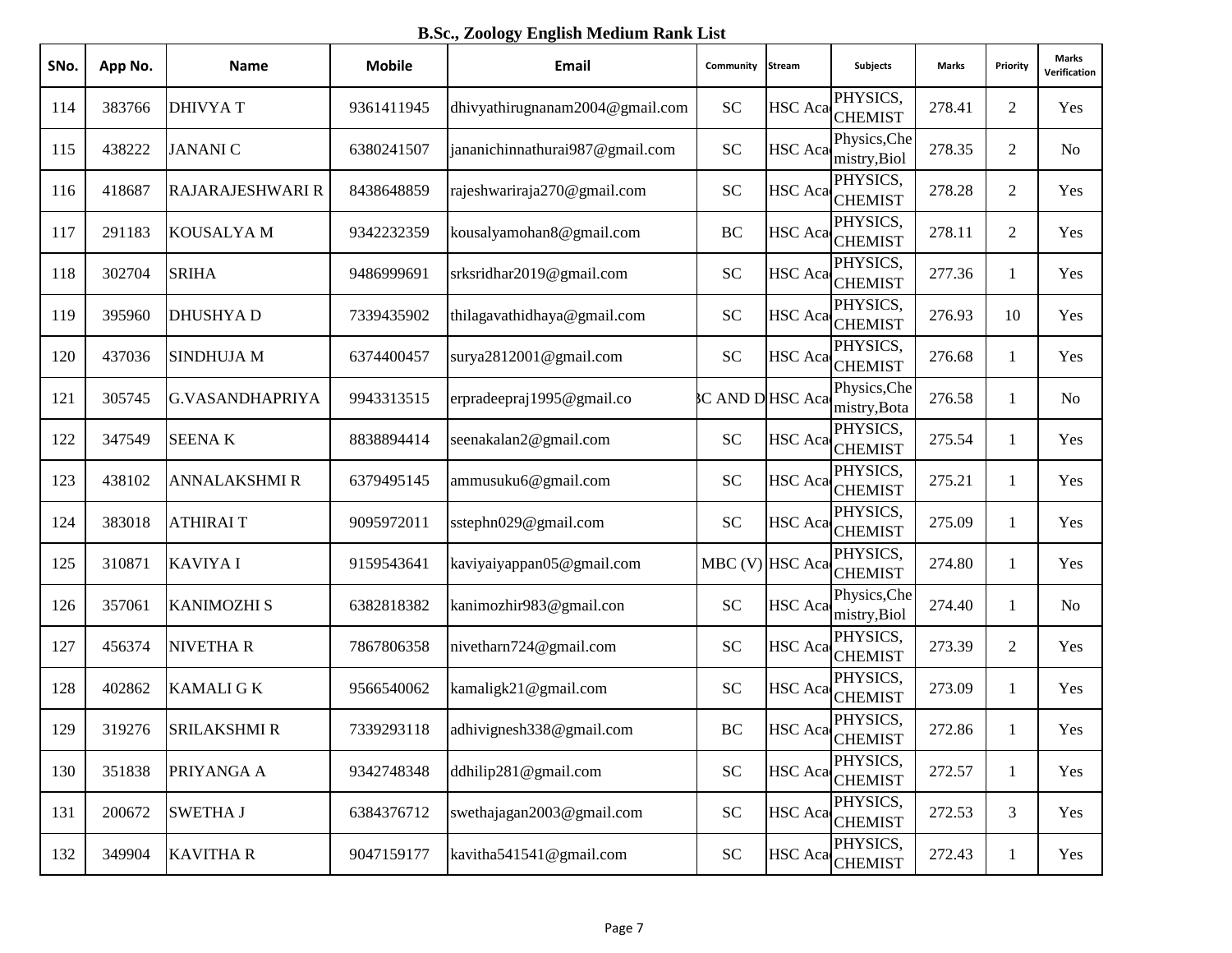**B.Sc., Zoology English Medium Rank List**

| SNo. | App No. | <b>Name</b>             | <b>Mobile</b> | Email                           | Community           | Stream          | <b>Subjects</b>              | <b>Marks</b> | Priority       | <b>Marks</b><br>Verification |
|------|---------|-------------------------|---------------|---------------------------------|---------------------|-----------------|------------------------------|--------------|----------------|------------------------------|
| 114  | 383766  | <b>DHIVYAT</b>          | 9361411945    | dhivyathirugnanam2004@gmail.com | <b>SC</b>           |                 | PHYSICS,<br>HSC Aca CHEMIST  | 278.41       | $\overline{2}$ | Yes                          |
| 115  | 438222  | <b>JANANIC</b>          | 6380241507    | jananichinnathurai987@gmail.com | <b>SC</b>           | HSC Aca         | Physics, Che<br>mistry, Biol | 278.35       | $\overline{2}$ | N <sub>o</sub>               |
| 116  | 418687  | <b>RAJARAJESHWARI R</b> | 8438648859    | rajeshwariraja270@gmail.com     | <b>SC</b>           | HSC Aca         | PHYSICS,<br><b>CHEMIST</b>   | 278.28       | $\overline{2}$ | Yes                          |
| 117  | 291183  | <b>KOUSALYAM</b>        | 9342232359    | kousalyamohan8@gmail.com        | BC                  | HSC Aca         | PHYSICS,<br><b>CHEMIST</b>   | 278.11       | $\overline{2}$ | Yes                          |
| 118  | 302704  | <b>SRIHA</b>            | 9486999691    | srksridhar2019@gmail.com        | <b>SC</b>           |                 | PHYSICS,<br>HSC Aca CHEMIST  | 277.36       | 1              | Yes                          |
| 119  | 395960  | <b>DHUSHYAD</b>         | 7339435902    | thilagavathidhaya@gmail.com     | <b>SC</b>           | HSC Aca         | PHYSICS,<br><b>CHEMIST</b>   | 276.93       | 10             | Yes                          |
| 120  | 437036  | <b>SINDHUJA M</b>       | 6374400457    | surya2812001@gmail.com          | <b>SC</b>           | <b>HSC</b> Aca  | PHYSICS,<br><b>CHEMIST</b>   | 276.68       | 1              | Yes                          |
| 121  | 305745  | <b>G.VASANDHAPRIYA</b>  | 9943313515    | erpradeepraj1995@gmail.co       | <b>CAND DHSCAca</b> |                 | Physics, Che<br>mistry, Bota | 276.58       | 1              | N <sub>o</sub>               |
| 122  | 347549  | <b>SEENAK</b>           | 8838894414    | seenakalan2@gmail.com           | <b>SC</b>           | HSC Aca         | PHYSICS,<br><b>CHEMIST</b>   | 275.54       | 1              | Yes                          |
| 123  | 438102  | <b>ANNALAKSHMI R</b>    | 6379495145    | ammusuku6@gmail.com             | <b>SC</b>           | HSC Aca         | PHYSICS,<br><b>CHEMIST</b>   | 275.21       | 1              | Yes                          |
| 124  | 383018  | <b>ATHIRAIT</b>         | 9095972011    | sstephn029@gmail.com            | <b>SC</b>           | HSC Aca         | PHYSICS,<br><b>CHEMIST</b>   | 275.09       | 1              | Yes                          |
| 125  | 310871  | <b>KAVIYAI</b>          | 9159543641    | kaviyaiyappan05@gmail.com       |                     | MBC (V) HSC Aca | PHYSICS,<br><b>CHEMIST</b>   | 274.80       | 1              | Yes                          |
| 126  | 357061  | <b>KANIMOZHI S</b>      | 6382818382    | kanimozhir983@gmail.con         | <b>SC</b>           | HSC Aca         | Physics, Che<br>mistry, Biol | 274.40       | 1              | N <sub>o</sub>               |
| 127  | 456374  | <b>NIVETHAR</b>         | 7867806358    | nivetharn724@gmail.com          | <b>SC</b>           |                 | PHYSICS,<br>HSC Aca CHEMIST  | 273.39       | $\overline{2}$ | Yes                          |
| 128  | 402862  | <b>KAMALI G K</b>       | 9566540062    | kamaligk21@gmail.com            | <b>SC</b>           | HSC Aca         | PHYSICS,<br><b>CHEMIST</b>   | 273.09       | 1              | Yes                          |
| 129  | 319276  | <b>SRILAKSHMI R</b>     | 7339293118    | adhivignesh338@gmail.com        | BC                  |                 | PHYSICS,<br>HSC Aca CHEMIST  | 272.86       | 1              | Yes                          |
| 130  | 351838  | PRIYANGA A              | 9342748348    | ddhilip281@gmail.com            | <b>SC</b>           |                 | PHYSICS,<br>HSC Aca CHEMIST  | 272.57       | $\mathbf{1}$   | Yes                          |
| 131  | 200672  | <b>SWETHA J</b>         | 6384376712    | swethajagan2003@gmail.com       | <b>SC</b>           | HSC Aca         | PHYSICS,<br><b>CHEMIST</b>   | 272.53       | $\mathfrak{Z}$ | Yes                          |
| 132  | 349904  | <b>KAVITHAR</b>         | 9047159177    | kavitha541541@gmail.com         | ${\rm SC}$          |                 | PHYSICS,<br>HSC Aca CHEMIST  | 272.43       | $\mathbf{1}$   | Yes                          |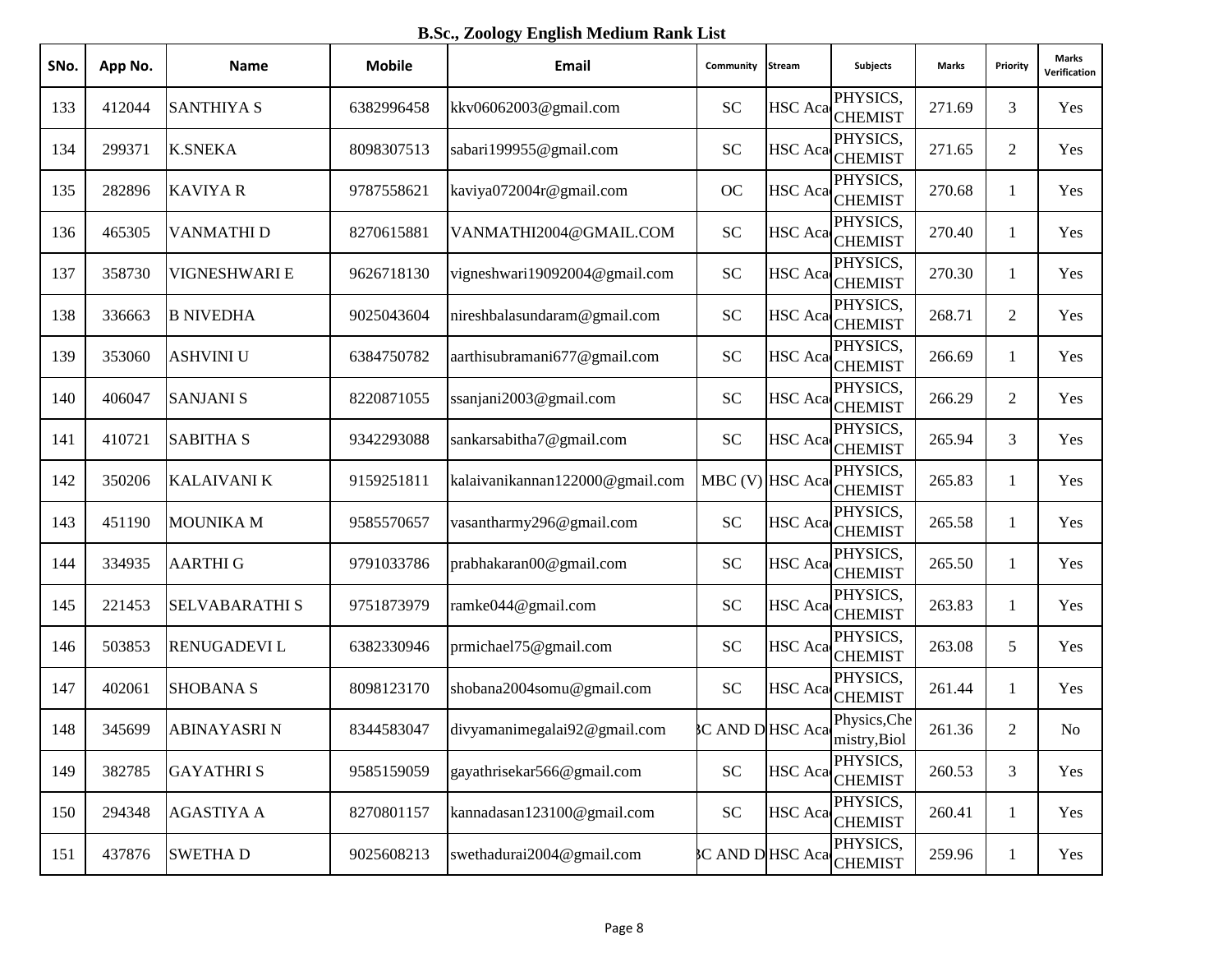**B.Sc., Zoology English Medium Rank List**

| SNo. | App No. | <b>Name</b>           | <b>Mobile</b> | Email                           | Community            | Stream         | <b>Subjects</b>                                                                                                                                                    | Marks  | Priority       | Marks<br>Verification |
|------|---------|-----------------------|---------------|---------------------------------|----------------------|----------------|--------------------------------------------------------------------------------------------------------------------------------------------------------------------|--------|----------------|-----------------------|
| 133  | 412044  | <b>SANTHIYA S</b>     | 6382996458    | kkv06062003@gmail.com           | <b>SC</b>            |                | PHYSICS,<br>HSC Aca <sub>CHEMIST</sub>                                                                                                                             | 271.69 | 3              | Yes                   |
| 134  | 299371  | <b>K.SNEKA</b>        | 8098307513    | sabari199955@gmail.com          | <b>SC</b>            | <b>HSC</b> Aca | PHYSICS,<br><b>CHEMIST</b>                                                                                                                                         | 271.65 | $\overline{2}$ | Yes                   |
| 135  | 282896  | <b>KAVIYAR</b>        | 9787558621    | kaviya072004r@gmail.com         | <b>OC</b>            |                | PHYSICS,<br>HSC Aca CHEMIST                                                                                                                                        | 270.68 | 1              | Yes                   |
| 136  | 465305  | VANMATHI D            | 8270615881    | VANMATHI2004@GMAIL.COM          | <b>SC</b>            |                | PHYSICS,<br>HSC Aca <sub>CHEMIST</sub>                                                                                                                             | 270.40 | $\mathbf{1}$   | Yes                   |
| 137  | 358730  | VIGNESHWARI E         | 9626718130    | vigneshwari19092004@gmail.com   | <b>SC</b>            |                | PHYSICS,<br>HSC Aca CHEMIST                                                                                                                                        | 270.30 | 1              | Yes                   |
| 138  | 336663  | <b>B NIVEDHA</b>      | 9025043604    | nireshbalasundaram@gmail.com    | <b>SC</b>            | <b>HSC</b> Aca | PHYSICS,<br><b>CHEMIST</b>                                                                                                                                         | 268.71 | $\overline{2}$ | Yes                   |
| 139  | 353060  | <b>ASHVINI U</b>      | 6384750782    | aarthisubramani677@gmail.com    | <b>SC</b>            | <b>HSC</b> Aca | PHYSICS,<br><b>CHEMIST</b>                                                                                                                                         | 266.69 | 1              | Yes                   |
| 140  | 406047  | <b>SANJANI S</b>      | 8220871055    | ssanjani2003@gmail.com          | <b>SC</b>            | <b>HSC</b> Aca | PHYSICS,<br><b>CHEMIST</b>                                                                                                                                         | 266.29 | $\overline{2}$ | Yes                   |
| 141  | 410721  | <b>SABITHA S</b>      | 9342293088    | sankarsabitha7@gmail.com        | <b>SC</b>            | <b>HSC</b> Aca | PHYSICS,<br><b>CHEMIST</b>                                                                                                                                         | 265.94 | 3              | Yes                   |
| 142  | 350206  | <b>KALAIVANI K</b>    | 9159251811    | kalaivanikannan122000@gmail.com | MBC (V) HSC Aca      |                | PHYSICS,<br><b>CHEMIST</b>                                                                                                                                         | 265.83 | 1              | Yes                   |
| 143  | 451190  | <b>MOUNIKA M</b>      | 9585570657    | vasantharmy296@gmail.com        | <b>SC</b>            | <b>HSC</b> Aca | PHYSICS,<br><b>CHEMIST</b>                                                                                                                                         | 265.58 | $\mathbf{1}$   | Yes                   |
| 144  | 334935  | <b>AARTHI G</b>       | 9791033786    | prabhakaran00@gmail.com         | <b>SC</b>            |                | PHYSICS,<br>HSC Aca CHEMIST                                                                                                                                        | 265.50 | $\mathbf{1}$   | Yes                   |
| 145  | 221453  | <b>SELVABARATHI S</b> | 9751873979    | ramke044@gmail.com              | <b>SC</b>            |                | PHYSICS,<br>HSC Aca CHEMIST                                                                                                                                        | 263.83 | 1              | Yes                   |
| 146  | 503853  | <b>RENUGADEVIL</b>    | 6382330946    | prmichael75@gmail.com           | <b>SC</b>            |                | PHYSICS,<br>HSC Aca CHEMIST                                                                                                                                        | 263.08 | 5              | Yes                   |
| 147  | 402061  | <b>SHOBANA S</b>      | 8098123170    | shobana2004somu@gmail.com       | <b>SC</b>            | <b>HSC</b> Aca | PHYSICS,<br><b>CHEMIST</b>                                                                                                                                         | 261.44 | $\mathbf{1}$   | Yes                   |
| 148  | 345699  | <b>ABINAYASRIN</b>    | 8344583047    | divyamanimegalai92@gmail.com    |                      |                | Physics, Che<br>$\mathcal{C}$ AND D HSC Aca $\begin{bmatrix} \text{m}_{\text{S}} & \text{m}_{\text{S}} \\ \text{m}_{\text{S}} & \text{m}_{\text{S}} \end{bmatrix}$ | 261.36 | $\mathbf{2}$   | N <sub>0</sub>        |
| 149  | 382785  | <b>GAYATHRIS</b>      | 9585159059    | gayathrisekar566@gmail.com      | <b>SC</b>            | <b>HSC</b> Aca | PHYSICS,<br><b>CHEMIST</b>                                                                                                                                         | 260.53 | $\mathfrak{Z}$ | Yes                   |
| 150  | 294348  | <b>AGASTIYA A</b>     | 8270801157    | kannadasan123100@gmail.com      | ${\rm SC}$           | <b>HSC</b> Aca | PHYSICS,<br><b>CHEMIST</b>                                                                                                                                         | 260.41 | $\mathbf{1}$   | Yes                   |
| 151  | 437876  | <b>SWETHAD</b>        | 9025608213    | swethadurai2004@gmail.com       | <b>CAND DHSC Aca</b> |                | PHYSICS,<br><b>CHEMIST</b>                                                                                                                                         | 259.96 | $\mathbf{1}$   | Yes                   |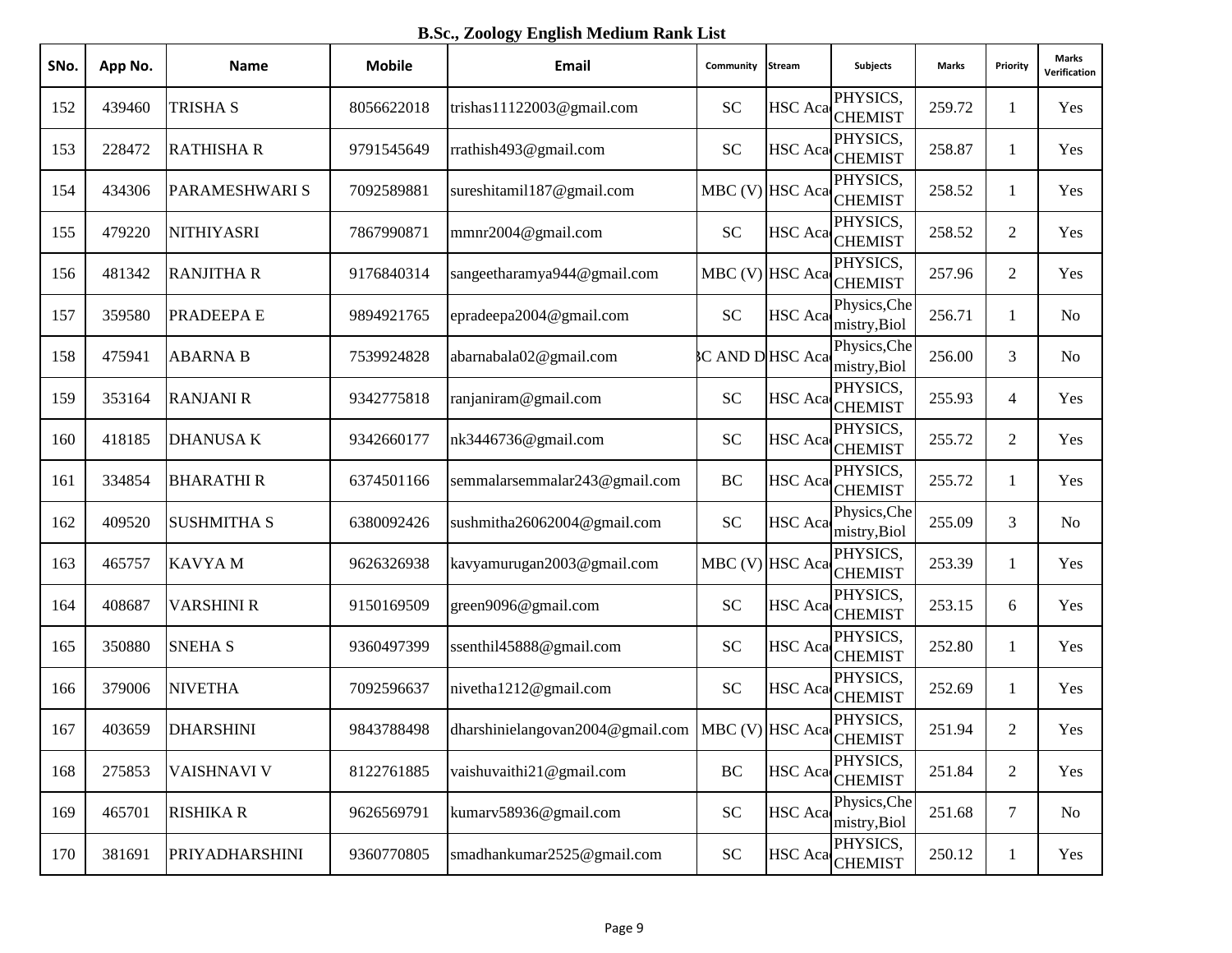**B.Sc., Zoology English Medium Rank List**

| SNo. | App No. | <b>Name</b>        | <b>Mobile</b> | Email                            | Community             | Stream         | <b>Subjects</b>                        | Marks  | Priority       | <b>Marks</b><br>Verification |
|------|---------|--------------------|---------------|----------------------------------|-----------------------|----------------|----------------------------------------|--------|----------------|------------------------------|
| 152  | 439460  | <b>TRISHA S</b>    | 8056622018    | trishas11122003@gmail.com        | <b>SC</b>             |                | PHYSICS,<br>HSC Aca <sub>CHEMIST</sub> | 259.72 | 1              | Yes                          |
| 153  | 228472  | <b>RATHISHA R</b>  | 9791545649    | rrathish493@gmail.com            | <b>SC</b>             |                | PHYSICS,<br>HSC Aca CHEMIST            | 258.87 | 1              | Yes                          |
| 154  | 434306  | PARAMESHWARI S     | 7092589881    | sureshitamil187@gmail.com        |                       |                | PHYSICS,<br>MBC (V) HSC Aca CHEMIST    | 258.52 | 1              | Yes                          |
| 155  | 479220  | <b>NITHIYASRI</b>  | 7867990871    | mmnr2004@gmail.com               | <b>SC</b>             |                | PHYSICS,<br>HSC Aca CHEMIST            | 258.52 | $\overline{2}$ | Yes                          |
| 156  | 481342  | <b>RANJITHA R</b>  | 9176840314    | sangeetharamya944@gmail.com      |                       |                | PHYSICS,<br>MBC (V) HSC Aca CHEMIST    | 257.96 | $\overline{2}$ | Yes                          |
| 157  | 359580  | PRADEEPA E         | 9894921765    | epradeepa2004@gmail.com          | <b>SC</b>             | <b>HSC</b> Aca | Physics, Che<br>mistry, Biol           | 256.71 | 1              | No                           |
| 158  | 475941  | <b>ABARNA B</b>    | 7539924828    | abarnabala02@gmail.com           | <b>C AND DHSC Aca</b> |                | Physics, Che<br>mistry, Biol           | 256.00 | 3              | No                           |
| 159  | 353164  | <b>RANJANI R</b>   | 9342775818    | ranjaniram@gmail.com             | <b>SC</b>             | <b>HSC</b> Aca | PHYSICS,<br><b>CHEMIST</b>             | 255.93 | $\overline{4}$ | Yes                          |
| 160  | 418185  | <b>DHANUSAK</b>    | 9342660177    | nk3446736@gmail.com              | <b>SC</b>             | <b>HSC</b> Aca | PHYSICS,<br><b>CHEMIST</b>             | 255.72 | $\overline{2}$ | Yes                          |
| 161  | 334854  | <b>BHARATHIR</b>   | 6374501166    | semmalarsemmalar243@gmail.com    | BC                    |                | PHYSICS,<br>HSC Aca CHEMIST            | 255.72 | 1              | Yes                          |
| 162  | 409520  | <b>SUSHMITHA S</b> | 6380092426    | sushmitha26062004@gmail.com      | <b>SC</b>             | HSC Aca        | Physics, Che<br>mistry, Biol           | 255.09 | 3              | No                           |
| 163  | 465757  | <b>KAVYAM</b>      | 9626326938    | kavyamurugan2003@gmail.com       |                       |                | PHYSICS,<br>MBC (V) HSC Aca CHEMIST    | 253.39 | $\mathbf{1}$   | Yes                          |
| 164  | 408687  | <b>VARSHINI R</b>  | 9150169509    | green9096@gmail.com              | <b>SC</b>             |                | PHYSICS,<br>HSC Aca <sub>CHEMIST</sub> | 253.15 | 6              | Yes                          |
| 165  | 350880  | <b>SNEHA S</b>     | 9360497399    | ssenthil45888@gmail.com          | <b>SC</b>             |                | PHYSICS,<br>HSC Aca CHEMIST            | 252.80 | 1              | Yes                          |
| 166  | 379006  | <b>NIVETHA</b>     | 7092596637    | nivetha1212@gmail.com            | <b>SC</b>             | <b>HSC</b> Aca | PHYSICS,<br><b>CHEMIST</b>             | 252.69 | $\mathbf{1}$   | Yes                          |
| 167  | 403659  | <b>DHARSHINI</b>   | 9843788498    | dharshinielangovan2004@gmail.com |                       |                | PHYSICS,<br>MBC (V) HSC Aca CHEMIST    | 251.94 | $\overline{2}$ | Yes                          |
| 168  | 275853  | VAISHNAVI V        | 8122761885    | vaishuvaithi21@gmail.com         | BC                    |                | PHYSICS,<br>HSC Aca CHEMIST            | 251.84 | $\sqrt{2}$     | Yes                          |
| 169  | 465701  | <b>RISHIKA R</b>   | 9626569791    | kumarv58936@gmail.com            | ${\rm SC}$            | <b>HSC</b> Aca | Physics, Che<br>mistry, Biol           | 251.68 | $\tau$         | N <sub>0</sub>               |
| 170  | 381691  | PRIYADHARSHINI     | 9360770805    | smadhankumar2525@gmail.com       | ${\rm SC}$            |                | PHYSICS,<br>HSC Aca CHEMIST            | 250.12 | $\mathbf{1}$   | Yes                          |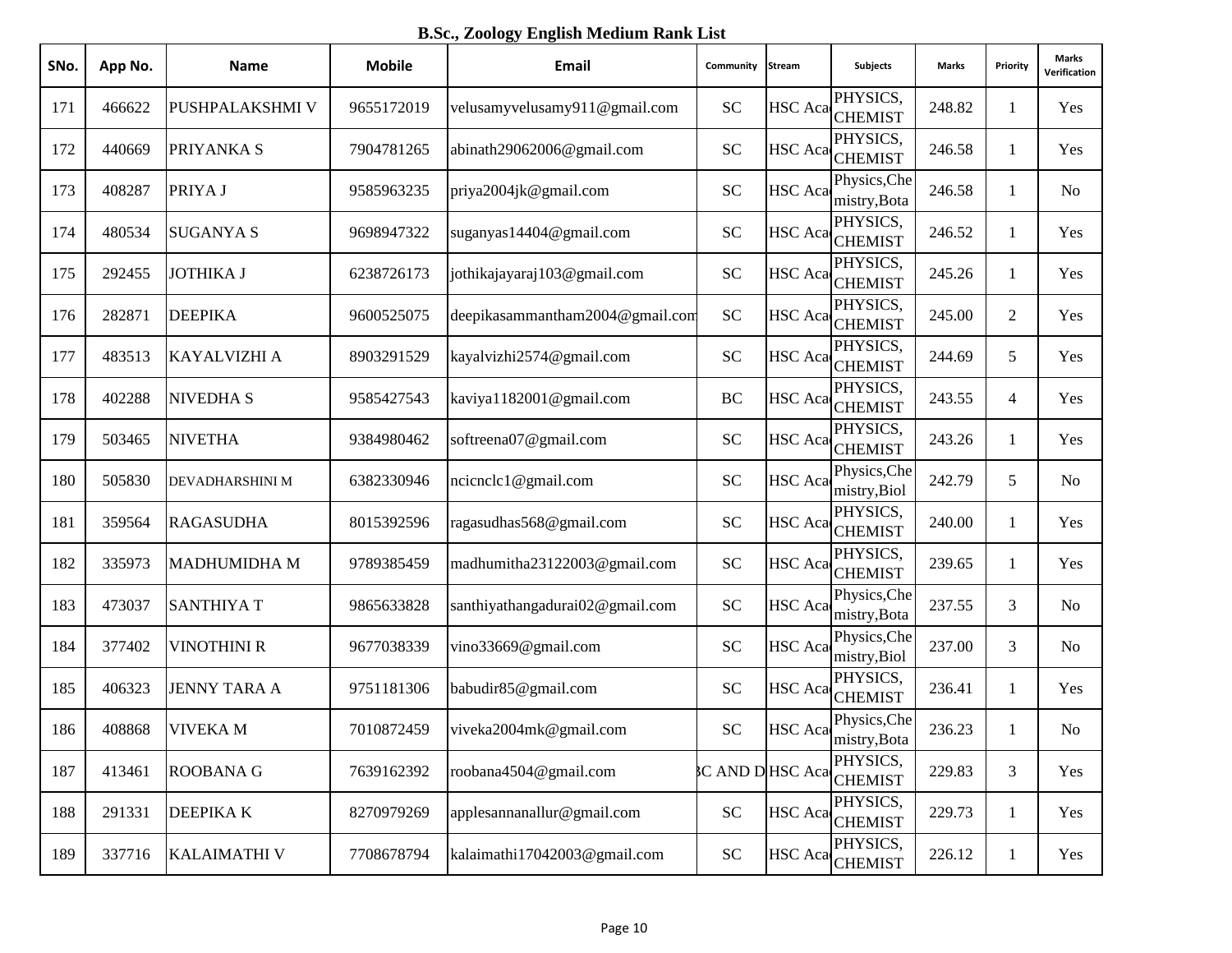**B.Sc., Zoology English Medium Rank List**

| SNo. | App No. | <b>Name</b>         | <b>Mobile</b> | Email                           | Community            | Stream         | Subjects                     | Marks  | Priority       | <b>Marks</b><br>Verification |
|------|---------|---------------------|---------------|---------------------------------|----------------------|----------------|------------------------------|--------|----------------|------------------------------|
| 171  | 466622  | PUSHPALAKSHMI V     | 9655172019    | velusamyvelusamy911@gmail.com   | <b>SC</b>            |                | PHYSICS,<br>HSC Aca CHEMIST  | 248.82 | 1              | Yes                          |
| 172  | 440669  | PRIYANKA S          | 7904781265    | abinath29062006@gmail.com       | <b>SC</b>            | HSC Aca        | PHYSICS,<br><b>CHEMIST</b>   | 246.58 | 1              | Yes                          |
| 173  | 408287  | PRIYA J             | 9585963235    | priya2004jk@gmail.com           | <b>SC</b>            | <b>HSC</b> Aca | Physics, Che<br>mistry, Bota | 246.58 | $\mathbf{1}$   | No                           |
| 174  | 480534  | <b>SUGANYA S</b>    | 9698947322    | suganyas14404@gmail.com         | <b>SC</b>            | <b>HSC</b> Aca | PHYSICS,<br><b>CHEMIST</b>   | 246.52 | 1              | Yes                          |
| 175  | 292455  | <b>JOTHIKA J</b>    | 6238726173    | jothikajayaraj103@gmail.com     | <b>SC</b>            |                | PHYSICS,<br>HSC Aca CHEMIST  | 245.26 | 1              | Yes                          |
| 176  | 282871  | <b>DEEPIKA</b>      | 9600525075    | deepikasammantham2004@gmail.com | <b>SC</b>            | <b>HSC</b> Aca | PHYSICS,<br><b>CHEMIST</b>   | 245.00 | $\overline{2}$ | Yes                          |
| 177  | 483513  | <b>KAYALVIZHI A</b> | 8903291529    | kayalvizhi2574@gmail.com        | <b>SC</b>            | <b>HSC</b> Aca | PHYSICS,<br><b>CHEMIST</b>   | 244.69 | 5              | Yes                          |
| 178  | 402288  | <b>NIVEDHA S</b>    | 9585427543    | kaviya1182001@gmail.com         | BC                   | <b>HSC</b> Aca | PHYSICS,<br><b>CHEMIST</b>   | 243.55 | 4              | Yes                          |
| 179  | 503465  | <b>NIVETHA</b>      | 9384980462    | softreena07@gmail.com           | <b>SC</b>            | <b>HSC</b> Aca | PHYSICS,<br><b>CHEMIST</b>   | 243.26 | $\mathbf{1}$   | Yes                          |
| 180  | 505830  | DEVADHARSHINI M     | 6382330946    | ncicnclc1@gmail.com             | <b>SC</b>            | <b>HSC</b> Aca | Physics, Che<br>mistry, Biol | 242.79 | 5              | N <sub>o</sub>               |
| 181  | 359564  | <b>RAGASUDHA</b>    | 8015392596    | ragasudhas568@gmail.com         | <b>SC</b>            | HSC Aca        | PHYSICS,<br><b>CHEMIST</b>   | 240.00 | $\mathbf{1}$   | Yes                          |
| 182  | 335973  | <b>MADHUMIDHA M</b> | 9789385459    | madhumitha23122003@gmail.com    | <b>SC</b>            |                | PHYSICS,<br>HSC Aca CHEMIST  | 239.65 | $\mathbf{1}$   | Yes                          |
| 183  | 473037  | <b>SANTHIYAT</b>    | 9865633828    | santhiyathangadurai02@gmail.com | <b>SC</b>            | <b>HSC</b> Aca | Physics, Che<br>mistry, Bota | 237.55 | 3              | No                           |
| 184  | 377402  | <b>VINOTHINI R</b>  | 9677038339    | vino33669@gmail.com             | <b>SC</b>            | <b>HSC</b> Aca | Physics, Che<br>mistry, Biol | 237.00 | 3              | N <sub>o</sub>               |
| 185  | 406323  | <b>JENNY TARA A</b> | 9751181306    | babudir85@gmail.com             | <b>SC</b>            | <b>HSC</b> Aca | PHYSICS,<br><b>CHEMIST</b>   | 236.41 | $\mathbf{1}$   | Yes                          |
| 186  | 408868  | <b>VIVEKAM</b>      | 7010872459    | viveka2004mk@gmail.com          | <b>SC</b>            | HSC Aca        | Physics, Che<br>mistry, Bota | 236.23 | 1              | No                           |
| 187  | 413461  | <b>ROOBANA G</b>    | 7639162392    | roobana4504@gmail.com           | <b>CAND DHSC Aca</b> |                | PHYSICS,<br><b>CHEMIST</b>   | 229.83 | $\mathfrak{Z}$ | Yes                          |
| 188  | 291331  | <b>DEEPIKAK</b>     | 8270979269    | applesannanallur@gmail.com      | <b>SC</b>            | <b>HSC</b> Aca | PHYSICS,<br><b>CHEMIST</b>   | 229.73 | $\mathbf{1}$   | Yes                          |
| 189  | 337716  | <b>KALAIMATHI V</b> | 7708678794    | kalaimathi17042003@gmail.com    | ${\rm SC}$           |                | PHYSICS,<br>HSC Aca CHEMIST  | 226.12 | $\mathbf{1}$   | Yes                          |